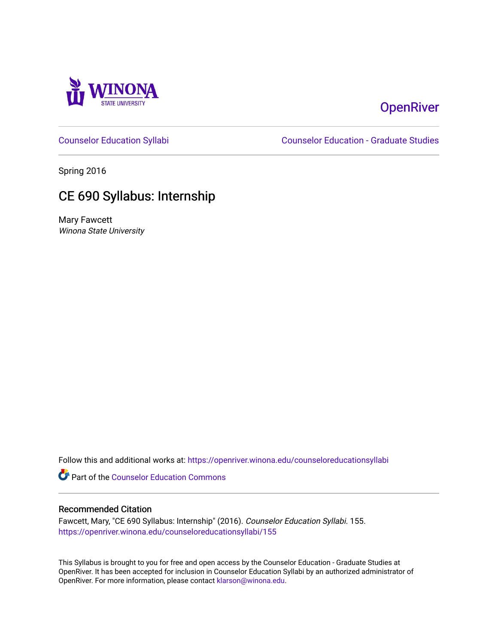

# **OpenRiver**

[Counselor Education Syllabi](https://openriver.winona.edu/counseloreducationsyllabi) [Counselor Education - Graduate Studies](https://openriver.winona.edu/counseloreducation) 

Spring 2016

# CE 690 Syllabus: Internship

Mary Fawcett Winona State University

Follow this and additional works at: [https://openriver.winona.edu/counseloreducationsyllabi](https://openriver.winona.edu/counseloreducationsyllabi?utm_source=openriver.winona.edu%2Fcounseloreducationsyllabi%2F155&utm_medium=PDF&utm_campaign=PDFCoverPages)

Part of the [Counselor Education Commons](http://network.bepress.com/hgg/discipline/1278?utm_source=openriver.winona.edu%2Fcounseloreducationsyllabi%2F155&utm_medium=PDF&utm_campaign=PDFCoverPages) 

#### Recommended Citation

Fawcett, Mary, "CE 690 Syllabus: Internship" (2016). Counselor Education Syllabi. 155. [https://openriver.winona.edu/counseloreducationsyllabi/155](https://openriver.winona.edu/counseloreducationsyllabi/155?utm_source=openriver.winona.edu%2Fcounseloreducationsyllabi%2F155&utm_medium=PDF&utm_campaign=PDFCoverPages)

This Syllabus is brought to you for free and open access by the Counselor Education - Graduate Studies at OpenRiver. It has been accepted for inclusion in Counselor Education Syllabi by an authorized administrator of OpenRiver. For more information, please contact [klarson@winona.edu](mailto:klarson@winona.edu).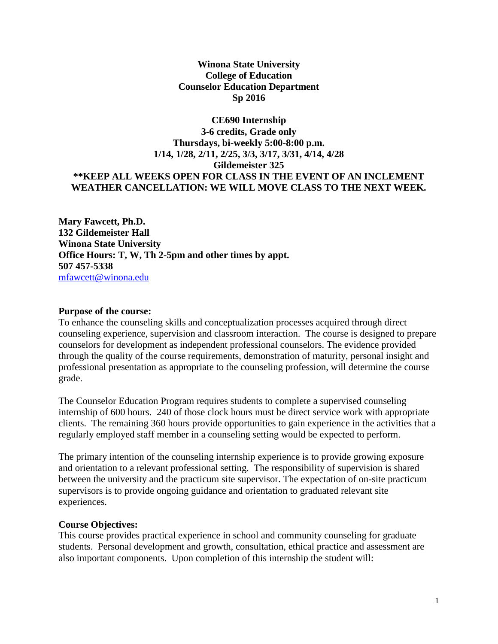#### **Winona State University College of Education Counselor Education Department Sp 2016**

# **CE690 Internship 3-6 credits, Grade only Thursdays, bi-weekly 5:00-8:00 p.m. 1/14, 1/28, 2/11, 2/25, 3/3, 3/17, 3/31, 4/14, 4/28 Gildemeister 325 \*\*KEEP ALL WEEKS OPEN FOR CLASS IN THE EVENT OF AN INCLEMENT WEATHER CANCELLATION: WE WILL MOVE CLASS TO THE NEXT WEEK.**

**Mary Fawcett, Ph.D. 132 Gildemeister Hall Winona State University Office Hours: T, W, Th 2-5pm and other times by appt. 507 457-5338** [mfawcett@winona.edu](mailto:mfawcett@winona.edu)

#### **Purpose of the course:**

To enhance the counseling skills and conceptualization processes acquired through direct counseling experience, supervision and classroom interaction. The course is designed to prepare counselors for development as independent professional counselors. The evidence provided through the quality of the course requirements, demonstration of maturity, personal insight and professional presentation as appropriate to the counseling profession, will determine the course grade.

The Counselor Education Program requires students to complete a supervised counseling internship of 600 hours. 240 of those clock hours must be direct service work with appropriate clients. The remaining 360 hours provide opportunities to gain experience in the activities that a regularly employed staff member in a counseling setting would be expected to perform.

The primary intention of the counseling internship experience is to provide growing exposure and orientation to a relevant professional setting. The responsibility of supervision is shared between the university and the practicum site supervisor. The expectation of on-site practicum supervisors is to provide ongoing guidance and orientation to graduated relevant site experiences.

#### **Course Objectives:**

This course provides practical experience in school and community counseling for graduate students. Personal development and growth, consultation, ethical practice and assessment are also important components. Upon completion of this internship the student will: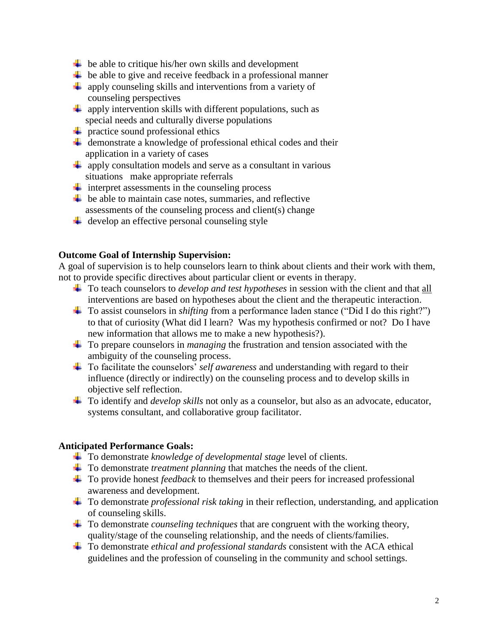- $\downarrow$  be able to critique his/her own skills and development
- $\overline{\phantom{a}}$  be able to give and receive feedback in a professional manner
- $\downarrow$  apply counseling skills and interventions from a variety of counseling perspectives
- $\ddot{+}$  apply intervention skills with different populations, such as special needs and culturally diverse populations
- $\overline{\text{I}}$  practice sound professional ethics
- $\overline{\phantom{a}}$  demonstrate a knowledge of professional ethical codes and their application in a variety of cases
- $\overline{\text{apply}}$  consultation models and serve as a consultant in various situations make appropriate referrals
- $\ddot{\bullet}$  interpret assessments in the counseling process
- $\overline{\textbf{I}}$  be able to maintain case notes, summaries, and reflective assessments of the counseling process and client(s) change
- $\downarrow$  develop an effective personal counseling style

#### **Outcome Goal of Internship Supervision:**

A goal of supervision is to help counselors learn to think about clients and their work with them, not to provide specific directives about particular client or events in therapy.

- To teach counselors to *develop and test hypotheses* in session with the client and that all interventions are based on hypotheses about the client and the therapeutic interaction.
- To assist counselors in *shifting* from a performance laden stance ("Did I do this right?") to that of curiosity (What did I learn? Was my hypothesis confirmed or not? Do I have new information that allows me to make a new hypothesis?).
- To prepare counselors in *managing* the frustration and tension associated with the ambiguity of the counseling process.
- To facilitate the counselors' *self awareness* and understanding with regard to their influence (directly or indirectly) on the counseling process and to develop skills in objective self reflection.
- To identify and *develop skills* not only as a counselor, but also as an advocate, educator, systems consultant, and collaborative group facilitator.

#### **Anticipated Performance Goals:**

- To demonstrate *knowledge of developmental stage* level of clients.
- To demonstrate *treatment planning* that matches the needs of the client.
- To provide honest *feedback* to themselves and their peers for increased professional awareness and development.
- To demonstrate *professional risk taking* in their reflection, understanding, and application of counseling skills.
- To demonstrate *counseling techniques* that are congruent with the working theory, quality/stage of the counseling relationship, and the needs of clients/families.
- To demonstrate *ethical and professional standards* consistent with the ACA ethical guidelines and the profession of counseling in the community and school settings.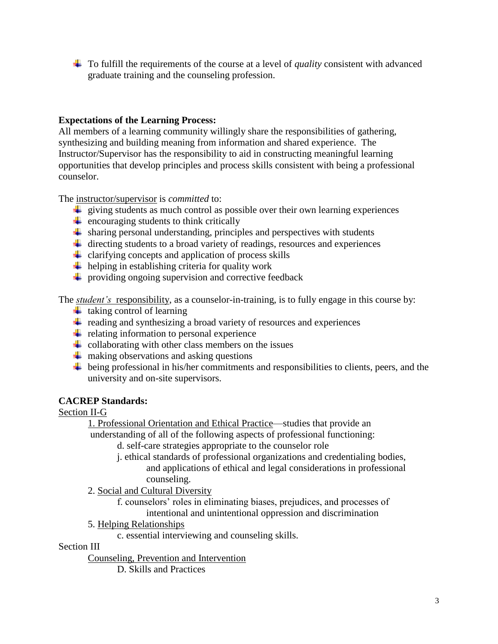To fulfill the requirements of the course at a level of *quality* consistent with advanced graduate training and the counseling profession.

# **Expectations of the Learning Process:**

All members of a learning community willingly share the responsibilities of gathering, synthesizing and building meaning from information and shared experience. The Instructor/Supervisor has the responsibility to aid in constructing meaningful learning opportunities that develop principles and process skills consistent with being a professional counselor.

The instructor/supervisor is *committed* to:

- $\ddot{\phantom{1}}$  giving students as much control as possible over their own learning experiences
- $\triangleq$  encouraging students to think critically
- $\ddot{\bullet}$  sharing personal understanding, principles and perspectives with students
- $\ddot{\phantom{a}}$  directing students to a broad variety of readings, resources and experiences
- $\downarrow$  clarifying concepts and application of process skills
- $\downarrow$  helping in establishing criteria for quality work
- $\downarrow$  providing ongoing supervision and corrective feedback

The *student's* responsibility, as a counselor-in-training, is to fully engage in this course by:

- $\ddot{\bullet}$  taking control of learning
- $\overline{\mathbf{r}}$  reading and synthesizing a broad variety of resources and experiences
- $\div$  relating information to personal experience
- $\ddot{+}$  collaborating with other class members on the issues
- $\frac{1}{\sqrt{2}}$  making observations and asking questions
- $\ddot{\phantom{a}}\phantom{a}$  being professional in his/her commitments and responsibilities to clients, peers, and the university and on-site supervisors.

# **CACREP Standards:**

# Section II-G

1. Professional Orientation and Ethical Practice—studies that provide an understanding of all of the following aspects of professional functioning:

- d. self-care strategies appropriate to the counselor role
- j. ethical standards of professional organizations and credentialing bodies, and applications of ethical and legal considerations in professional counseling.
- 2. Social and Cultural Diversity
	- f. counselors' roles in eliminating biases, prejudices, and processes of intentional and unintentional oppression and discrimination
- 5. Helping Relationships

c. essential interviewing and counseling skills.

# Section III

Counseling, Prevention and Intervention

D. Skills and Practices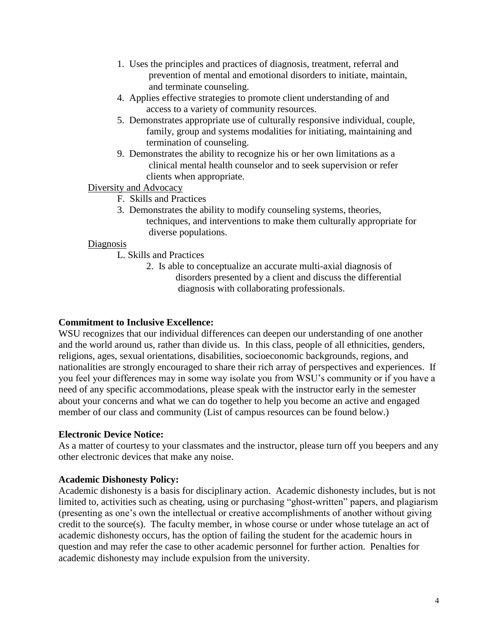- 1. Uses the principles and practices of diagnosis, treatment, referral and prevention of mental and emotional disorders to initiate, maintain, and terminate counseling.
- 4. Applies effective strategies to promote client understanding of and access to a variety of community resources.
- 5. Demonstrates appropriate use of culturally responsive individual, couple, family, group and systems modalities for initiating, maintaining and termination of counseling.
- 9. Demonstrates the ability to recognize his or her own limitations as a clinical mental health counselor and to seek supervision or refer clients when appropriate.

#### Diversity and Advocacy

- F. Skills and Practices
- 3. Demonstrates the ability to modify counseling systems, theories, techniques, and interventions to make them culturally appropriate for diverse populations.

#### Diagnosis

- L. Skills and Practices
	- 2. Is able to conceptualize an accurate multi-axial diagnosis of disorders presented by a client and discuss the differential diagnosis with collaborating professionals.

#### **Commitment to Inclusive Excellence:**

WSU recognizes that our individual differences can deepen our understanding of one another and the world around us, rather than divide us. In this class, people of all ethnicities, genders, religions, ages, sexual orientations, disabilities, socioeconomic backgrounds, regions, and nationalities are strongly encouraged to share their rich array of perspectives and experiences. If you feel your differences may in some way isolate you from WSU's community or if you have a need of any specific accommodations, please speak with the instructor early in the semester about your concerns and what we can do together to help you become an active and engaged member of our class and community (List of campus resources can be found below.)

#### **Electronic Device Notice:**

As a matter of courtesy to your classmates and the instructor, please turn off you beepers and any other electronic devices that make any noise.

#### **Academic Dishonesty Policy:**

Academic dishonesty is a basis for disciplinary action. Academic dishonesty includes, but is not limited to, activities such as cheating, using or purchasing "ghost-written" papers, and plagiarism (presenting as one's own the intellectual or creative accomplishments of another without giving credit to the source(s). The faculty member, in whose course or under whose tutelage an act of academic dishonesty occurs, has the option of failing the student for the academic hours in question and may refer the case to other academic personnel for further action. Penalties for academic dishonesty may include expulsion from the university.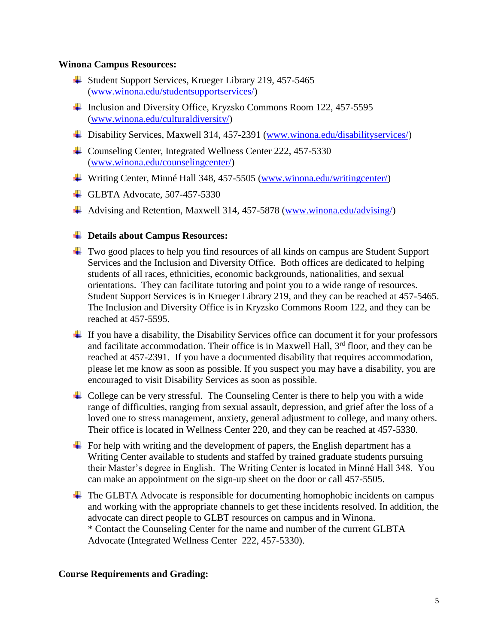#### **Winona Campus Resources:**

- Student Support Services, Krueger Library 219, 457-5465 [\(www.winona.edu/studentsupportservices/\)](http://www.winona.edu/studentsupportservices/)
- Inclusion and Diversity Office, Kryzsko Commons Room 122, 457-5595 [\(www.winona.edu/culturaldiversity/\)](http://www.winona.edu/culturaldiversity/)
- Disability Services, Maxwell 314, 457-2391 [\(www.winona.edu/disabilityservices/\)](http://www.winona.edu/disabilityservices/)
- Counseling Center, Integrated Wellness Center 222, 457-5330 [\(www.winona.edu/counselingcenter/\)](http://www.winona.edu/counselingcenter/)
- Writing Center, Minné Hall 348, 457-5505 [\(www.winona.edu/writingcenter/\)](http://www.winona.edu/writingcenter/)
- $\overline{\text{L}$  GLBTA Advocate, 507-457-5330
- Advising and Retention, Maxwell 314, 457-5878 [\(www.winona.edu/advising/\)](http://www.winona.edu/advising/)

#### **Details about Campus Resources:**

- $\overline{\phantom{a}}$  Two good places to help you find resources of all kinds on campus are Student Support Services and the Inclusion and Diversity Office. Both offices are dedicated to helping students of all races, ethnicities, economic backgrounds, nationalities, and sexual orientations. They can facilitate tutoring and point you to a wide range of resources. Student Support Services is in Krueger Library 219, and they can be reached at 457-5465. The Inclusion and Diversity Office is in Kryzsko Commons Room 122, and they can be reached at 457-5595.
- $\pm$  If you have a disability, the Disability Services office can document it for your professors and facilitate accommodation. Their office is in Maxwell Hall,  $3<sup>rd</sup>$  floor, and they can be reached at 457-2391. If you have a documented disability that requires accommodation, please let me know as soon as possible. If you suspect you may have a disability, you are encouraged to visit Disability Services as soon as possible.
- $\overline{\phantom{a}}$  College can be very stressful. The Counseling Center is there to help you with a wide range of difficulties, ranging from sexual assault, depression, and grief after the loss of a loved one to stress management, anxiety, general adjustment to college, and many others. Their office is located in Wellness Center 220, and they can be reached at 457-5330.
- For help with writing and the development of papers, the English department has a Writing Center available to students and staffed by trained graduate students pursuing their Master's degree in English. The Writing Center is located in Minné Hall 348. You can make an appointment on the sign-up sheet on the door or call 457-5505.
- $\overline{\phantom{a}}$  The GLBTA Advocate is responsible for documenting homophobic incidents on campus and working with the appropriate channels to get these incidents resolved. In addition, the advocate can direct people to GLBT resources on campus and in Winona. \* Contact the Counseling Center for the name and number of the current GLBTA Advocate (Integrated Wellness Center 222, 457-5330).

#### **Course Requirements and Grading:**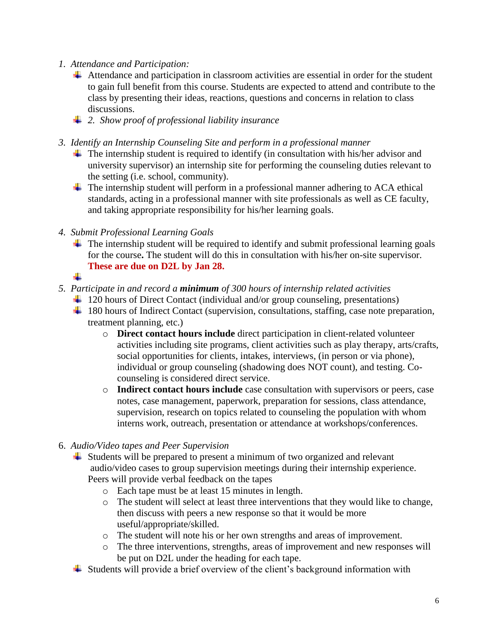- *1. Attendance and Participation:* 
	- $\overline{\phantom{a}}$  Attendance and participation in classroom activities are essential in order for the student to gain full benefit from this course. Students are expected to attend and contribute to the class by presenting their ideas, reactions, questions and concerns in relation to class discussions.
	- *2. Show proof of professional liability insurance*
- *3. Identify an Internship Counseling Site and perform in a professional manner* 
	- $\ddot{\phantom{1}}$  The internship student is required to identify (in consultation with his/her advisor and university supervisor) an internship site for performing the counseling duties relevant to the setting (i.e. school, community).
	- $\ddot{\phantom{1}}$  The internship student will perform in a professional manner adhering to ACA ethical standards, acting in a professional manner with site professionals as well as CE faculty, and taking appropriate responsibility for his/her learning goals.
- *4. Submit Professional Learning Goals*
	- $\pm$  The internship student will be required to identify and submit professional learning goals for the course**.** The student will do this in consultation with his/her on-site supervisor. **These are due on D2L by Jan 28.**
	- ÷.

#### *5. Participate in and record a minimum of 300 hours of internship related activities*

- $\ddot{+}$  120 hours of Direct Contact (individual and/or group counseling, presentations)
- <sup>1</sup> 180 hours of Indirect Contact (supervision, consultations, staffing, case note preparation, treatment planning, etc.)
	- o **Direct contact hours include** direct participation in client-related volunteer activities including site programs, client activities such as play therapy, arts/crafts, social opportunities for clients, intakes, interviews, (in person or via phone), individual or group counseling (shadowing does NOT count), and testing. Cocounseling is considered direct service.
	- o **Indirect contact hours include** case consultation with supervisors or peers, case notes, case management, paperwork, preparation for sessions, class attendance, supervision, research on topics related to counseling the population with whom interns work, outreach, presentation or attendance at workshops/conferences.

#### 6. *Audio/Video tapes and Peer Supervision*

- $\ddot{\bullet}$  Students will be prepared to present a minimum of two organized and relevant audio/video cases to group supervision meetings during their internship experience. Peers will provide verbal feedback on the tapes
	- o Each tape must be at least 15 minutes in length.
	- o The student will select at least three interventions that they would like to change, then discuss with peers a new response so that it would be more useful/appropriate/skilled.
	- o The student will note his or her own strengths and areas of improvement.
	- o The three interventions, strengths, areas of improvement and new responses will be put on D2L under the heading for each tape.
- $\overline{\phantom{a}}$  Students will provide a brief overview of the client's background information with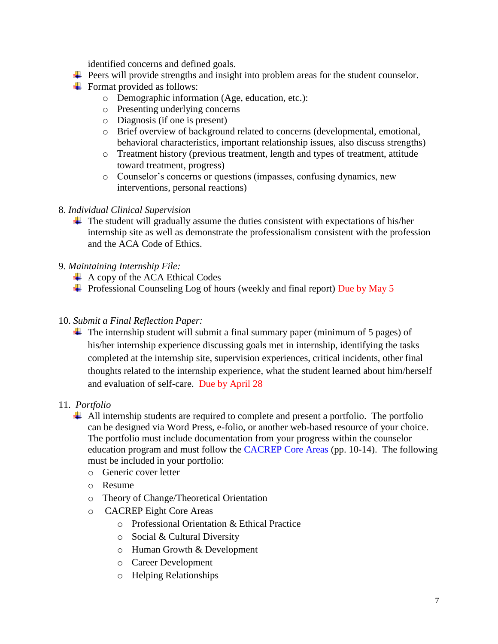identified concerns and defined goals.

- Peers will provide strengths and insight into problem areas for the student counselor.
- $\overline{\phantom{a}}$  Format provided as follows:
	- o Demographic information (Age, education, etc.):
	- o Presenting underlying concerns
	- o Diagnosis (if one is present)
	- o Brief overview of background related to concerns (developmental, emotional, behavioral characteristics, important relationship issues, also discuss strengths)
	- o Treatment history (previous treatment, length and types of treatment, attitude toward treatment, progress)
	- o Counselor's concerns or questions (impasses, confusing dynamics, new interventions, personal reactions)
- 8. *Individual Clinical Supervision*
	- $\ddot{\phantom{1}}$  The student will gradually assume the duties consistent with expectations of his/her internship site as well as demonstrate the professionalism consistent with the profession and the ACA Code of Ethics.
- 9. *Maintaining Internship File:*
	- $\overline{\phantom{a}}$  A copy of the ACA Ethical Codes
	- $\overline{\phantom{a}}$  Professional Counseling Log of hours (weekly and final report) Due by May 5
- 10. *Submit a Final Reflection Paper:*
	- $\ddot{\phantom{1}}$  The internship student will submit a final summary paper (minimum of 5 pages) of his/her internship experience discussing goals met in internship, identifying the tasks completed at the internship site, supervision experiences, critical incidents, other final thoughts related to the internship experience, what the student learned about him/herself and evaluation of self-care. Due by April 28
- 11. *Portfolio*
	- $\overline{\phantom{a}}$  All internship students are required to complete and present a portfolio. The portfolio can be designed via Word Press, e-folio, or another web-based resource of your choice. The portfolio must include documentation from your progress within the counselor education program and must follow the [CACREP Core Areas](http://www.cacrep.org/doc/2009%20Standards%20with%20cover.pdf) (pp. 10-14). The following must be included in your portfolio:
		- o Generic cover letter
		- o Resume
		- o Theory of Change/Theoretical Orientation
		- o CACREP Eight Core Areas
			- o Professional Orientation & Ethical Practice
			- o Social & Cultural Diversity
			- o Human Growth & Development
			- o Career Development
			- o Helping Relationships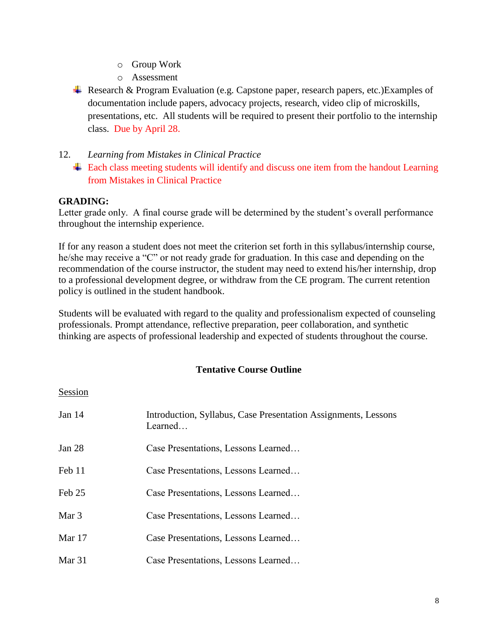- o Group Work
- o Assessment
- Research & Program Evaluation (e.g. Capstone paper, research papers, etc.) Examples of documentation include papers, advocacy projects, research, video clip of microskills, presentations, etc. All students will be required to present their portfolio to the internship class. Due by April 28.

### 12. *Learning from Mistakes in Clinical Practice*

 $\ddot{\text{+}}$  Each class meeting students will identify and discuss one item from the handout Learning from Mistakes in Clinical Practice

#### **GRADING:**

Letter grade only. A final course grade will be determined by the student's overall performance throughout the internship experience.

If for any reason a student does not meet the criterion set forth in this syllabus/internship course, he/she may receive a "C" or not ready grade for graduation. In this case and depending on the recommendation of the course instructor, the student may need to extend his/her internship, drop to a professional development degree, or withdraw from the CE program. The current retention policy is outlined in the student handbook.

Students will be evaluated with regard to the quality and professionalism expected of counseling professionals. Prompt attendance, reflective preparation, peer collaboration, and synthetic thinking are aspects of professional leadership and expected of students throughout the course.

# **Tentative Course Outline**

#### Session

| Jan 14   | Introduction, Syllabus, Case Presentation Assignments, Lessons<br>Learned |
|----------|---------------------------------------------------------------------------|
| Jan $28$ | Case Presentations, Lessons Learned                                       |
| Feb 11   | Case Presentations, Lessons Learned                                       |
| Feb 25   | Case Presentations, Lessons Learned                                       |
| Mar 3    | Case Presentations, Lessons Learned                                       |
| Mar 17   | Case Presentations, Lessons Learned                                       |
| Mar 31   | Case Presentations, Lessons Learned                                       |